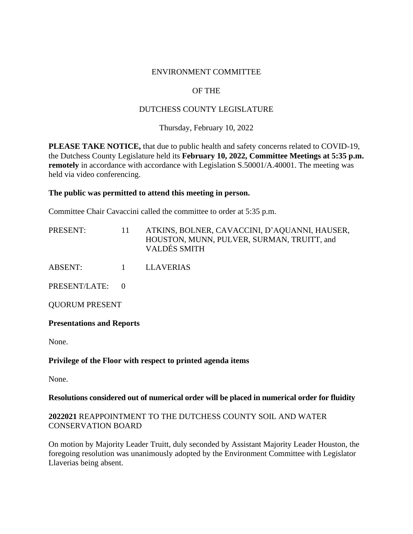### ENVIRONMENT COMMITTEE

# OF THE

# DUTCHESS COUNTY LEGISLATURE

## Thursday, February 10, 2022

**PLEASE TAKE NOTICE,** that due to public health and safety concerns related to COVID-19, the Dutchess County Legislature held its **February 10, 2022, Committee Meetings at 5:35 p.m. remotely** in accordance with accordance with Legislation S.50001/A.40001. The meeting was held via video conferencing.

#### **The public was permitted to attend this meeting in person.**

Committee Chair Cavaccini called the committee to order at 5:35 p.m.

| PRESENT: | ATKINS, BOLNER, CAVACCINI, D'AQUANNI, HAUSER, |
|----------|-----------------------------------------------|
|          | HOUSTON, MUNN, PULVER, SURMAN, TRUITT, and    |
|          | <b>VALDÉS SMITH</b>                           |

ABSENT: 1 LLAVERIAS

PRESENT/LATE: 0

QUORUM PRESENT

#### **Presentations and Reports**

None.

# **Privilege of the Floor with respect to printed agenda items**

None.

#### **Resolutions considered out of numerical order will be placed in numerical order for fluidity**

### **2022021** REAPPOINTMENT TO THE DUTCHESS COUNTY SOIL AND WATER CONSERVATION BOARD

On motion by Majority Leader Truitt, duly seconded by Assistant Majority Leader Houston, the foregoing resolution was unanimously adopted by the Environment Committee with Legislator Llaverias being absent.